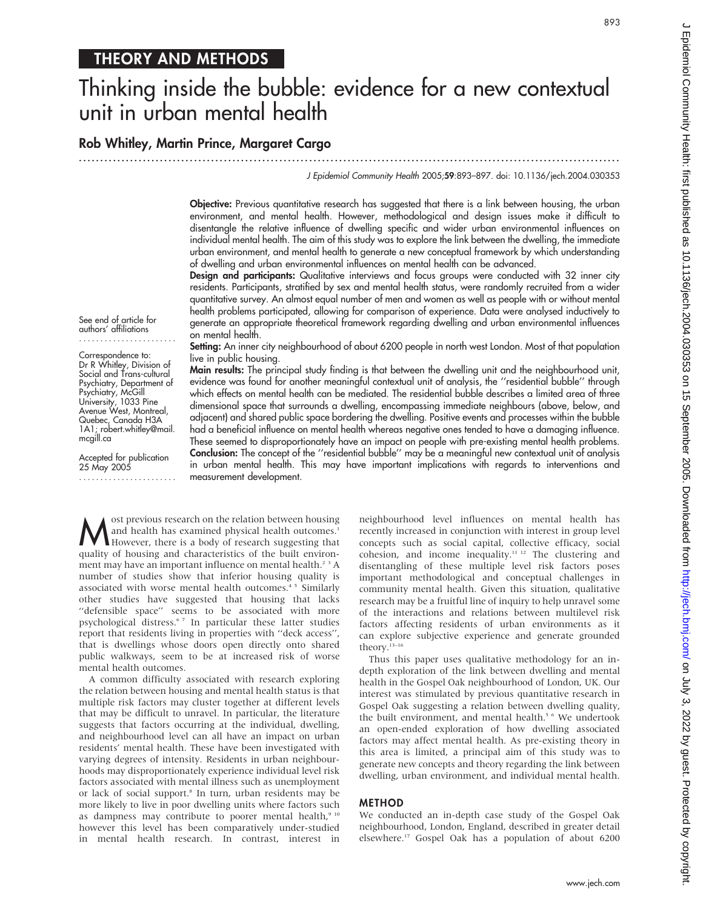# Thinking inside the bubble: evidence for a new contextual unit in urban mental health

# Rob Whitley, Martin Prince, Margaret Cargo

...............................................................................................................................

J Epidemiol Community Health 2005;59:893–897. doi: 10.1136/jech.2004.030353

Objective: Previous quantitative research has suggested that there is a link between housing, the urban environment, and mental health. However, methodological and design issues make it difficult to disentangle the relative influence of dwelling specific and wider urban environmental influences on individual mental health. The aim of this study was to explore the link between the dwelling, the immediate urban environment, and mental health to generate a new conceptual framework by which understanding of dwelling and urban environmental influences on mental health can be advanced.

Design and participants: Qualitative interviews and focus groups were conducted with 32 inner city residents. Participants, stratified by sex and mental health status, were randomly recruited from a wider quantitative survey. An almost equal number of men and women as well as people with or without mental health problems participated, allowing for comparison of experience. Data were analysed inductively to generate an appropriate theoretical framework regarding dwelling and urban environmental influences on mental health.

Setting: An inner city neighbourhood of about 6200 people in north west London. Most of that population live in public housing.

Main results: The principal study finding is that between the dwelling unit and the neighbourhood unit, evidence was found for another meaningful contextual unit of analysis, the ''residential bubble'' through which effects on mental health can be mediated. The residential bubble describes a limited area of three dimensional space that surrounds a dwelling, encompassing immediate neighbours (above, below, and adjacent) and shared public space bordering the dwelling. Positive events and processes within the bubble had a beneficial influence on mental health whereas negative ones tended to have a damaging influence. These seemed to disproportionately have an impact on people with pre-existing mental health problems. Conclusion: The concept of the ''residential bubble'' may be a meaningful new contextual unit of analysis in urban mental health. This may have important implications with regards to interventions and measurement development.

**M** ost previous research on the relation between housing<br>and health has examined physical health outcomes.<sup>1</sup><br>However, there is a body of research suggesting that<br>quality of housing and characteristics of the huilt enviro and health has examined physical health outcomes.<sup>1</sup> However, there is a body of research suggesting that quality of housing and characteristics of the built environment may have an important influence on mental health.<sup>23</sup> A number of studies show that inferior housing quality is associated with worse mental health outcomes.<sup>45</sup> Similarly other studies have suggested that housing that lacks "defensible space" seems to be associated with more psychological distress.6 7 In particular these latter studies report that residents living in properties with ''deck access'', that is dwellings whose doors open directly onto shared public walkways, seem to be at increased risk of worse mental health outcomes.

A common difficulty associated with research exploring the relation between housing and mental health status is that multiple risk factors may cluster together at different levels that may be difficult to unravel. In particular, the literature suggests that factors occurring at the individual, dwelling, and neighbourhood level can all have an impact on urban residents' mental health. These have been investigated with varying degrees of intensity. Residents in urban neighbourhoods may disproportionately experience individual level risk factors associated with mental illness such as unemployment or lack of social support.<sup>8</sup> In turn, urban residents may be more likely to live in poor dwelling units where factors such as dampness may contribute to poorer mental health, $910$ however this level has been comparatively under-studied in mental health research. In contrast, interest in

neighbourhood level influences on mental health has recently increased in conjunction with interest in group level concepts such as social capital, collective efficacy, social cohesion, and income inequality.<sup>11-12</sup> The clustering and disentangling of these multiple level risk factors poses important methodological and conceptual challenges in community mental health. Given this situation, qualitative research may be a fruitful line of inquiry to help unravel some of the interactions and relations between multilevel risk factors affecting residents of urban environments as it can explore subjective experience and generate grounded theory.<sup>13-16</sup>

Thus this paper uses qualitative methodology for an indepth exploration of the link between dwelling and mental health in the Gospel Oak neighbourhood of London, UK. Our interest was stimulated by previous quantitative research in Gospel Oak suggesting a relation between dwelling quality, the built environment, and mental health.<sup>5 6</sup> We undertook an open-ended exploration of how dwelling associated factors may affect mental health. As pre-existing theory in this area is limited, a principal aim of this study was to generate new concepts and theory regarding the link between dwelling, urban environment, and individual mental health.

## METHOD

We conducted an in-depth case study of the Gospel Oak neighbourhood, London, England, described in greater detail elsewhere.17 Gospel Oak has a population of about 6200

See end of article for authors' affiliations .......................

Correspondence to: Dr R Whitley, Division of Social and Trans-cultural Psychiatry, Department of Psychiatry, McGill University, 1033 Pine Avenue West, Montreal, Quebec, Canada H3A 1A1; robert.whitley@mail. mcgill.ca

Accepted for publication 25 May 2005 .......................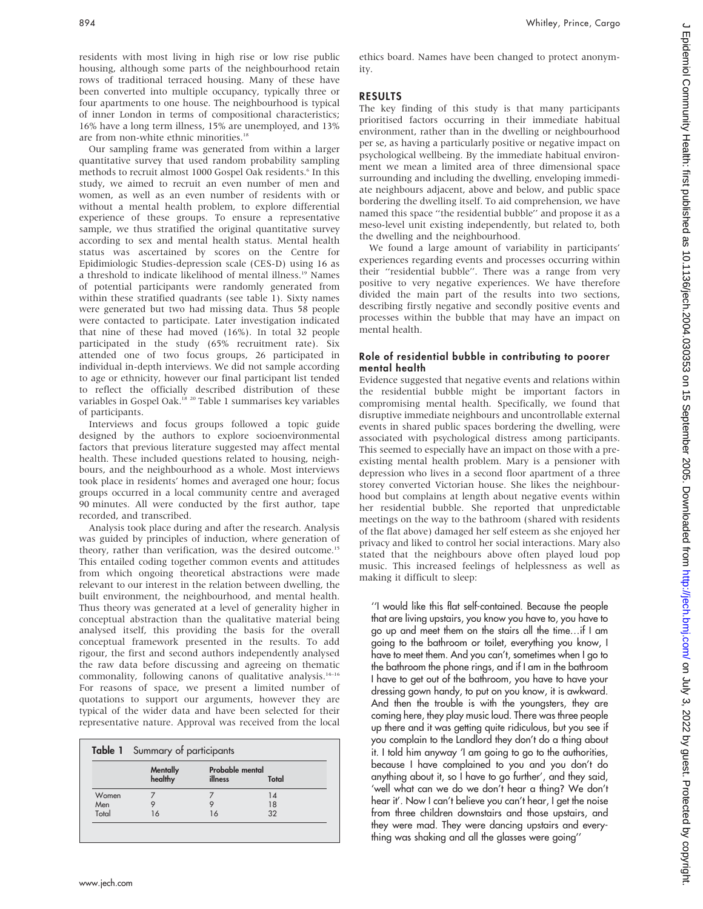residents with most living in high rise or low rise public housing, although some parts of the neighbourhood retain rows of traditional terraced housing. Many of these have been converted into multiple occupancy, typically three or four apartments to one house. The neighbourhood is typical of inner London in terms of compositional characteristics; 16% have a long term illness, 15% are unemployed, and 13% are from non-white ethnic minorities.<sup>18</sup>

Our sampling frame was generated from within a larger quantitative survey that used random probability sampling methods to recruit almost 1000 Gospel Oak residents.<sup>6</sup> In this study, we aimed to recruit an even number of men and women, as well as an even number of residents with or without a mental health problem, to explore differential experience of these groups. To ensure a representative sample, we thus stratified the original quantitative survey according to sex and mental health status. Mental health status was ascertained by scores on the Centre for Epidimiologic Studies-depression scale (CES-D) using 16 as a threshold to indicate likelihood of mental illness.<sup>19</sup> Names of potential participants were randomly generated from within these stratified quadrants (see table 1). Sixty names were generated but two had missing data. Thus 58 people were contacted to participate. Later investigation indicated that nine of these had moved (16%). In total 32 people participated in the study (65% recruitment rate). Six attended one of two focus groups, 26 participated in individual in-depth interviews. We did not sample according to age or ethnicity, however our final participant list tended to reflect the officially described distribution of these variables in Gospel Oak.<sup>18 20</sup> Table 1 summarises key variables of participants.

Interviews and focus groups followed a topic guide designed by the authors to explore socioenvironmental factors that previous literature suggested may affect mental health. These included questions related to housing, neighbours, and the neighbourhood as a whole. Most interviews took place in residents' homes and averaged one hour; focus groups occurred in a local community centre and averaged 90 minutes. All were conducted by the first author, tape recorded, and transcribed.

Analysis took place during and after the research. Analysis was guided by principles of induction, where generation of theory, rather than verification, was the desired outcome.<sup>15</sup> This entailed coding together common events and attitudes from which ongoing theoretical abstractions were made relevant to our interest in the relation between dwelling, the built environment, the neighbourhood, and mental health. Thus theory was generated at a level of generality higher in conceptual abstraction than the qualitative material being analysed itself, this providing the basis for the overall conceptual framework presented in the results. To add rigour, the first and second authors independently analysed the raw data before discussing and agreeing on thematic commonality, following canons of qualitative analysis.<sup>14-16</sup> For reasons of space, we present a limited number of quotations to support our arguments, however they are typical of the wider data and have been selected for their representative nature. Approval was received from the local

|       | Table 1 Summary of participants |                            |       |
|-------|---------------------------------|----------------------------|-------|
|       | <b>Mentally</b><br>healthy      | Probable mental<br>illness | Total |
| Women |                                 |                            | 14    |
| Men   |                                 |                            | 18    |
| Total | 16                              | 16                         | 32    |

ethics board. Names have been changed to protect anonymity.

## RESULTS

The key finding of this study is that many participants prioritised factors occurring in their immediate habitual environment, rather than in the dwelling or neighbourhood per se, as having a particularly positive or negative impact on psychological wellbeing. By the immediate habitual environment we mean a limited area of three dimensional space surrounding and including the dwelling, enveloping immediate neighbours adjacent, above and below, and public space bordering the dwelling itself. To aid comprehension, we have named this space ''the residential bubble'' and propose it as a meso-level unit existing independently, but related to, both the dwelling and the neighbourhood.

We found a large amount of variability in participants' experiences regarding events and processes occurring within their ''residential bubble''. There was a range from very positive to very negative experiences. We have therefore divided the main part of the results into two sections, describing firstly negative and secondly positive events and processes within the bubble that may have an impact on mental health.

#### Role of residential bubble in contributing to poorer mental health

Evidence suggested that negative events and relations within the residential bubble might be important factors in compromising mental health. Specifically, we found that disruptive immediate neighbours and uncontrollable external events in shared public spaces bordering the dwelling, were associated with psychological distress among participants. This seemed to especially have an impact on those with a preexisting mental health problem. Mary is a pensioner with depression who lives in a second floor apartment of a three storey converted Victorian house. She likes the neighbourhood but complains at length about negative events within her residential bubble. She reported that unpredictable meetings on the way to the bathroom (shared with residents of the flat above) damaged her self esteem as she enjoyed her privacy and liked to control her social interactions. Mary also stated that the neighbours above often played loud pop music. This increased feelings of helplessness as well as making it difficult to sleep:

''I would like this flat self-contained. Because the people that are living upstairs, you know you have to, you have to go up and meet them on the stairs all the time…if I am going to the bathroom or toilet, everything you know, I have to meet them. And you can't, sometimes when I go to the bathroom the phone rings, and if I am in the bathroom I have to get out of the bathroom, you have to have your dressing gown handy, to put on you know, it is awkward. And then the trouble is with the youngsters, they are coming here, they play music loud. There was three people up there and it was getting quite ridiculous, but you see if you complain to the Landlord they don't do a thing about it. I told him anyway 'I am going to go to the authorities, because I have complained to you and you don't do anything about it, so I have to go further', and they said, 'well what can we do we don't hear a thing? We don't hear it'. Now I can't believe you can't hear, I get the noise from three children downstairs and those upstairs, and they were mad. They were dancing upstairs and everything was shaking and all the glasses were going''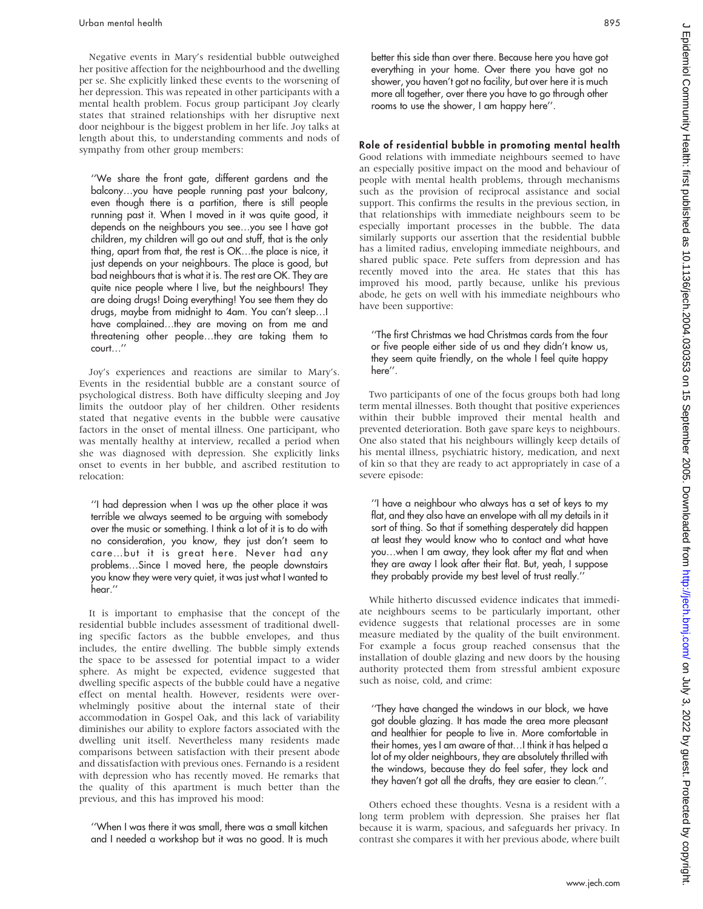Negative events in Mary's residential bubble outweighed her positive affection for the neighbourhood and the dwelling per se. She explicitly linked these events to the worsening of her depression. This was repeated in other participants with a mental health problem. Focus group participant Joy clearly states that strained relationships with her disruptive next door neighbour is the biggest problem in her life. Joy talks at length about this, to understanding comments and nods of sympathy from other group members:

''We share the front gate, different gardens and the balcony…you have people running past your balcony, even though there is a partition, there is still people running past it. When I moved in it was quite good, it depends on the neighbours you see…you see I have got children, my children will go out and stuff, that is the only thing, apart from that, the rest is OK…the place is nice, it just depends on your neighbours. The place is good, but bad neighbours that is what it is. The rest are OK. They are quite nice people where I live, but the neighbours! They are doing drugs! Doing everything! You see them they do drugs, maybe from midnight to 4am. You can't sleep…I have complained…they are moving on from me and threatening other people…they are taking them to court…''

Joy's experiences and reactions are similar to Mary's. Events in the residential bubble are a constant source of psychological distress. Both have difficulty sleeping and Joy limits the outdoor play of her children. Other residents stated that negative events in the bubble were causative factors in the onset of mental illness. One participant, who was mentally healthy at interview, recalled a period when she was diagnosed with depression. She explicitly links onset to events in her bubble, and ascribed restitution to relocation:

''I had depression when I was up the other place it was terrible we always seemed to be arguing with somebody over the music or something. I think a lot of it is to do with no consideration, you know, they just don't seem to care…but it is great here. Never had any problems…Since I moved here, the people downstairs you know they were very quiet, it was just what I wanted to hear.''

It is important to emphasise that the concept of the residential bubble includes assessment of traditional dwelling specific factors as the bubble envelopes, and thus includes, the entire dwelling. The bubble simply extends the space to be assessed for potential impact to a wider sphere. As might be expected, evidence suggested that dwelling specific aspects of the bubble could have a negative effect on mental health. However, residents were overwhelmingly positive about the internal state of their accommodation in Gospel Oak, and this lack of variability diminishes our ability to explore factors associated with the dwelling unit itself. Nevertheless many residents made comparisons between satisfaction with their present abode and dissatisfaction with previous ones. Fernando is a resident with depression who has recently moved. He remarks that the quality of this apartment is much better than the previous, and this has improved his mood:

''When I was there it was small, there was a small kitchen and I needed a workshop but it was no good. It is much better this side than over there. Because here you have got everything in your home. Over there you have got no shower, you haven't got no facility, but over here it is much more all together, over there you have to go through other rooms to use the shower, I am happy here''.

#### Role of residential bubble in promoting mental health

Good relations with immediate neighbours seemed to have an especially positive impact on the mood and behaviour of people with mental health problems, through mechanisms such as the provision of reciprocal assistance and social support. This confirms the results in the previous section, in that relationships with immediate neighbours seem to be especially important processes in the bubble. The data similarly supports our assertion that the residential bubble has a limited radius, enveloping immediate neighbours, and shared public space. Pete suffers from depression and has recently moved into the area. He states that this has improved his mood, partly because, unlike his previous abode, he gets on well with his immediate neighbours who have been supportive:

''The first Christmas we had Christmas cards from the four or five people either side of us and they didn't know us, they seem quite friendly, on the whole I feel quite happy here''.

Two participants of one of the focus groups both had long term mental illnesses. Both thought that positive experiences within their bubble improved their mental health and prevented deterioration. Both gave spare keys to neighbours. One also stated that his neighbours willingly keep details of his mental illness, psychiatric history, medication, and next of kin so that they are ready to act appropriately in case of a severe episode:

''I have a neighbour who always has a set of keys to my flat, and they also have an envelope with all my details in it sort of thing. So that if something desperately did happen at least they would know who to contact and what have you…when I am away, they look after my flat and when they are away I look after their flat. But, yeah, I suppose they probably provide my best level of trust really.''

While hitherto discussed evidence indicates that immediate neighbours seems to be particularly important, other evidence suggests that relational processes are in some measure mediated by the quality of the built environment. For example a focus group reached consensus that the installation of double glazing and new doors by the housing authority protected them from stressful ambient exposure such as noise, cold, and crime:

''They have changed the windows in our block, we have got double glazing. It has made the area more pleasant and healthier for people to live in. More comfortable in their homes, yes I am aware of that…I think it has helped a lot of my older neighbours, they are absolutely thrilled with the windows, because they do feel safer, they lock and they haven't got all the drafts, they are easier to clean.''.

Others echoed these thoughts. Vesna is a resident with a long term problem with depression. She praises her flat because it is warm, spacious, and safeguards her privacy. In contrast she compares it with her previous abode, where built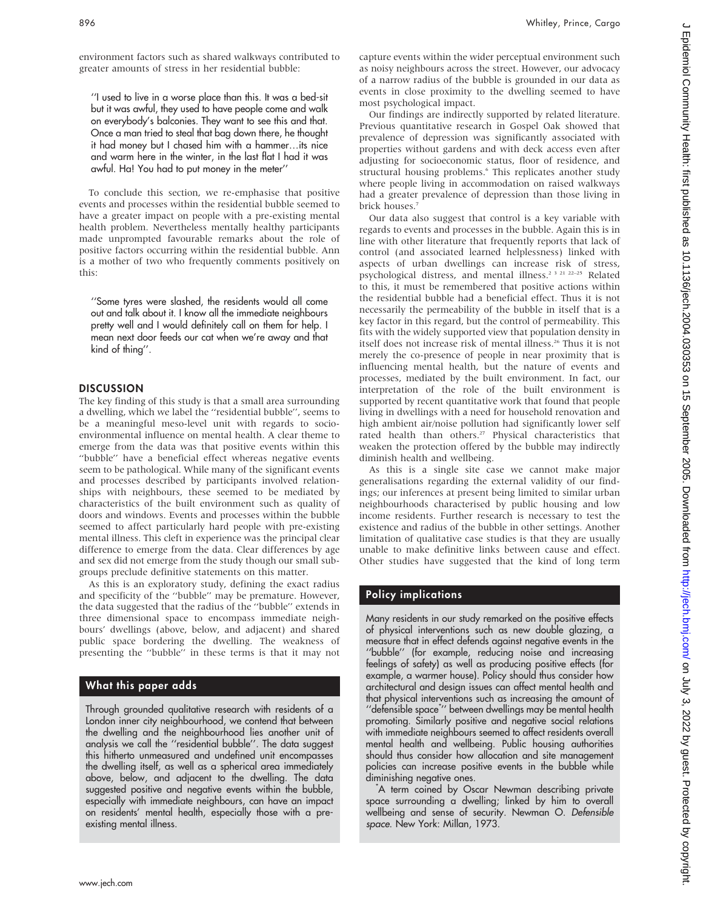environment factors such as shared walkways contributed to greater amounts of stress in her residential bubble:

''I used to live in a worse place than this. It was a bed-sit but it was awful, they used to have people come and walk on everybody's balconies. They want to see this and that. Once a man tried to steal that bag down there, he thought it had money but I chased him with a hammer…its nice and warm here in the winter, in the last flat I had it was awful. Ha! You had to put money in the meter''

To conclude this section, we re-emphasise that positive events and processes within the residential bubble seemed to have a greater impact on people with a pre-existing mental health problem. Nevertheless mentally healthy participants made unprompted favourable remarks about the role of positive factors occurring within the residential bubble. Ann is a mother of two who frequently comments positively on this:

''Some tyres were slashed, the residents would all come out and talk about it. I know all the immediate neighbours pretty well and I would definitely call on them for help. I mean next door feeds our cat when we're away and that kind of thing''.

### **DISCUSSION**

The key finding of this study is that a small area surrounding a dwelling, which we label the ''residential bubble'', seems to be a meaningful meso-level unit with regards to socioenvironmental influence on mental health. A clear theme to emerge from the data was that positive events within this ''bubble'' have a beneficial effect whereas negative events seem to be pathological. While many of the significant events and processes described by participants involved relationships with neighbours, these seemed to be mediated by characteristics of the built environment such as quality of doors and windows. Events and processes within the bubble seemed to affect particularly hard people with pre-existing mental illness. This cleft in experience was the principal clear difference to emerge from the data. Clear differences by age and sex did not emerge from the study though our small subgroups preclude definitive statements on this matter.

As this is an exploratory study, defining the exact radius and specificity of the ''bubble'' may be premature. However, the data suggested that the radius of the ''bubble'' extends in three dimensional space to encompass immediate neighbours' dwellings (above, below, and adjacent) and shared public space bordering the dwelling. The weakness of presenting the ''bubble'' in these terms is that it may not

## What this paper adds

Through grounded qualitative research with residents of a London inner city neighbourhood, we contend that between the dwelling and the neighbourhood lies another unit of analysis we call the ''residential bubble''. The data suggest this hitherto unmeasured and undefined unit encompasses the dwelling itself, as well as a spherical area immediately above, below, and adjacent to the dwelling. The data suggested positive and negative events within the bubble, especially with immediate neighbours, can have an impact on residents' mental health, especially those with a preexisting mental illness.

capture events within the wider perceptual environment such as noisy neighbours across the street. However, our advocacy of a narrow radius of the bubble is grounded in our data as events in close proximity to the dwelling seemed to have most psychological impact.

Our findings are indirectly supported by related literature. Previous quantitative research in Gospel Oak showed that prevalence of depression was significantly associated with properties without gardens and with deck access even after adjusting for socioeconomic status, floor of residence, and structural housing problems.<sup>6</sup> This replicates another study where people living in accommodation on raised walkways had a greater prevalence of depression than those living in brick houses.7

Our data also suggest that control is a key variable with regards to events and processes in the bubble. Again this is in line with other literature that frequently reports that lack of control (and associated learned helplessness) linked with aspects of urban dwellings can increase risk of stress, psychological distress, and mental illness.<sup>2 3 21 22-25</sup> Related to this, it must be remembered that positive actions within the residential bubble had a beneficial effect. Thus it is not necessarily the permeability of the bubble in itself that is a key factor in this regard, but the control of permeability. This fits with the widely supported view that population density in itself does not increase risk of mental illness.26 Thus it is not merely the co-presence of people in near proximity that is influencing mental health, but the nature of events and processes, mediated by the built environment. In fact, our interpretation of the role of the built environment is supported by recent quantitative work that found that people living in dwellings with a need for household renovation and high ambient air/noise pollution had significantly lower self rated health than others.<sup>27</sup> Physical characteristics that weaken the protection offered by the bubble may indirectly diminish health and wellbeing.

As this is a single site case we cannot make major generalisations regarding the external validity of our findings; our inferences at present being limited to similar urban neighbourhoods characterised by public housing and low income residents. Further research is necessary to test the existence and radius of the bubble in other settings. Another limitation of qualitative case studies is that they are usually unable to make definitive links between cause and effect. Other studies have suggested that the kind of long term

## Policy implications

Many residents in our study remarked on the positive effects of physical interventions such as new double glazing, a measure that in effect defends against negative events in the ''bubble'' (for example, reducing noise and increasing feelings of safety) as well as producing positive effects (for example, a warmer house). Policy should thus consider how architectural and design issues can affect mental health and that physical interventions such as increasing the amount of ''defensible space\* '' between dwellings may be mental health promoting. Similarly positive and negative social relations with immediate neighbours seemed to affect residents overall mental health and wellbeing. Public housing authorities should thus consider how allocation and site management policies can increase positive events in the bubble while diminishing negative ones.

A term coined by Oscar Newman describing private space surrounding a dwelling; linked by him to overall wellbeing and sense of security. Newman O. Defensible space. New York: Millan, 1973.